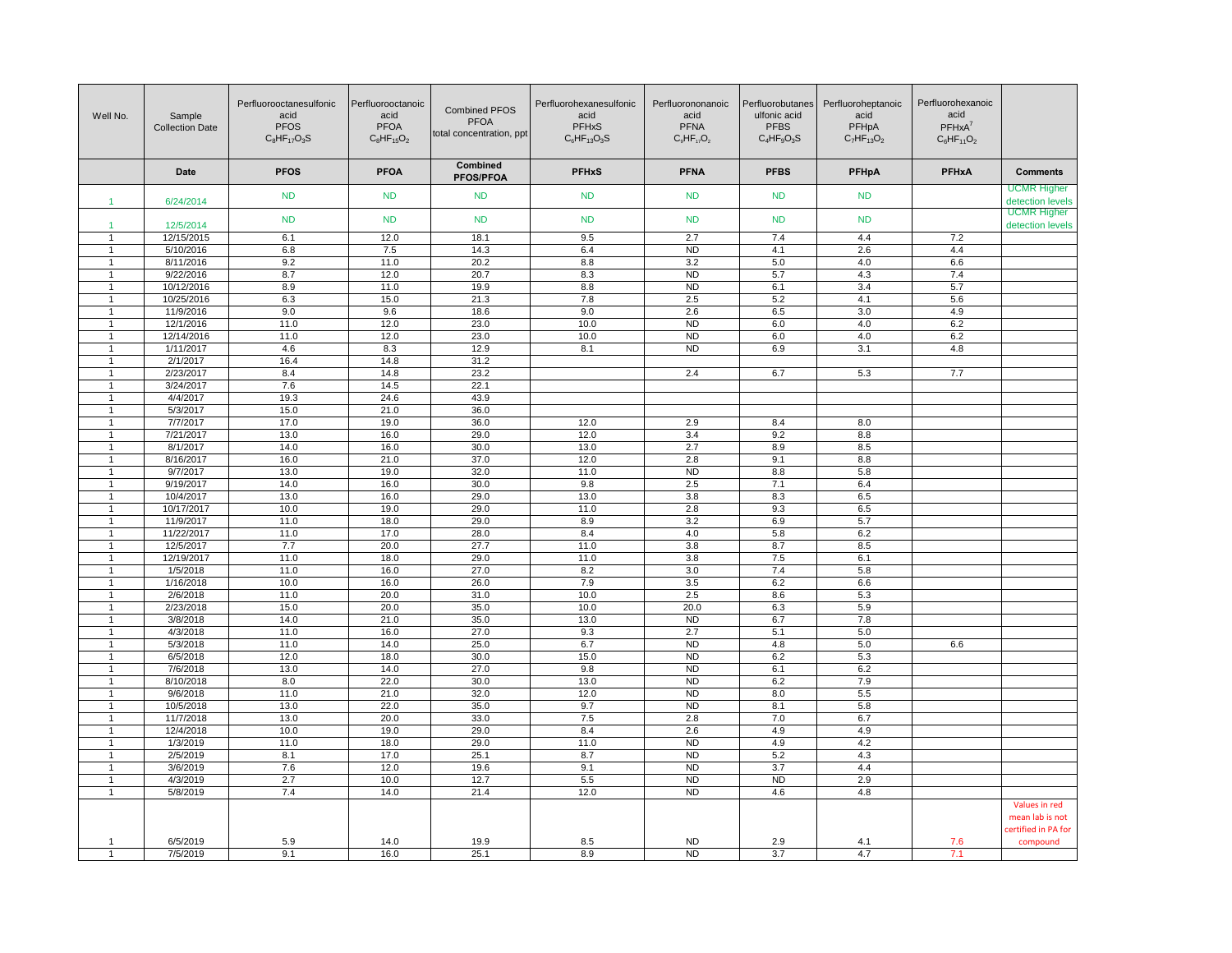| Well No.                         | Sample<br><b>Collection Date</b> | Perfluorooctanesulfonic<br>acid<br><b>PFOS</b><br>$C_8HF_{17}O_3S$ | Perfluorooctanoic<br>acid<br><b>PFOA</b><br>$C_8$ HF <sub>15</sub> O <sub>2</sub> | <b>Combined PFOS</b><br><b>PFOA</b><br>total concentration, ppt | Perfluorohexanesulfonic<br>acid<br><b>PFHxS</b><br>$C_6HF_{13}O_3S$ | Perfluorononanoic<br>acid<br><b>PFNA</b><br>$C_9HF_{17}O_2$ | Perfluorobutanes<br>ulfonic acid<br><b>PFBS</b><br>$C_4HF_9O_3S$ | Perfluoroheptanoic<br>acid<br>PFHpA<br>$C_7HF_{13}O_2$ | Perfluorohexanoic<br>acid<br>$PFHxA^7$<br>$C_6HF_{11}O_2$ |                                                         |
|----------------------------------|----------------------------------|--------------------------------------------------------------------|-----------------------------------------------------------------------------------|-----------------------------------------------------------------|---------------------------------------------------------------------|-------------------------------------------------------------|------------------------------------------------------------------|--------------------------------------------------------|-----------------------------------------------------------|---------------------------------------------------------|
|                                  | Date                             | <b>PFOS</b>                                                        | <b>PFOA</b>                                                                       | Combined<br><b>PFOS/PFOA</b>                                    | <b>PFHxS</b>                                                        | <b>PFNA</b>                                                 | <b>PFBS</b>                                                      | <b>PFHpA</b>                                           | <b>PFHxA</b>                                              | <b>Comments</b>                                         |
| $\blacktriangleleft$             | 6/24/2014                        | <b>ND</b>                                                          | <b>ND</b>                                                                         | <b>ND</b>                                                       | <b>ND</b>                                                           | <b>ND</b>                                                   | <b>ND</b>                                                        | <b>ND</b>                                              |                                                           | <b>UCMR Higher</b><br>detection levels                  |
| $\blacktriangleleft$             | 12/5/2014                        | <b>ND</b>                                                          | <b>ND</b>                                                                         | <b>ND</b>                                                       | <b>ND</b>                                                           | <b>ND</b>                                                   | <b>ND</b>                                                        | <b>ND</b>                                              |                                                           | <b>UCMR Higher</b><br>detection levels                  |
| $\overline{1}$                   | 12/15/2015                       | 6.1                                                                | 12.0                                                                              | 18.1                                                            | 9.5                                                                 | 2.7                                                         | 7.4                                                              | 4.4                                                    | 7.2                                                       |                                                         |
| $\mathbf{1}$                     | 5/10/2016                        | 6.8                                                                | 7.5                                                                               | 14.3                                                            | 6.4                                                                 | <b>ND</b>                                                   | 4.1                                                              | 2.6                                                    | 4.4                                                       |                                                         |
| $\overline{1}$                   | 8/11/2016                        | 9.2                                                                | 11.0                                                                              | 20.2                                                            | 8.8                                                                 | 3.2                                                         | 5.0                                                              | 4.0                                                    | 6.6                                                       |                                                         |
| -1                               | 9/22/2016                        | 8.7                                                                | 12.0                                                                              | 20.7                                                            | 8.3                                                                 | <b>ND</b>                                                   | 5.7                                                              | 4.3                                                    | 7.4                                                       |                                                         |
| $\mathbf{1}$                     | 10/12/2016                       | 8.9                                                                | 11.0                                                                              | 19.9                                                            | 8.8                                                                 | <b>ND</b>                                                   | 6.1                                                              | 3.4                                                    | 5.7                                                       |                                                         |
| $\overline{1}$                   | 10/25/2016                       | 6.3                                                                | 15.0                                                                              | 21.3                                                            | 7.8                                                                 | 2.5                                                         | 5.2                                                              | 4.1                                                    | 5.6                                                       |                                                         |
| -1                               | 11/9/2016                        | 9.0                                                                | 9.6                                                                               | 18.6                                                            | 9.0                                                                 | 2.6                                                         | 6.5                                                              | 3.0                                                    | 4.9                                                       |                                                         |
| $\mathbf{1}$                     | 12/1/2016                        | 11.0                                                               | 12.0                                                                              | 23.0                                                            | 10.0                                                                | <b>ND</b>                                                   | $6.0\,$                                                          | 4.0                                                    | 6.2                                                       |                                                         |
| $\mathbf{1}$                     | 12/14/2016                       | 11.0                                                               | 12.0                                                                              | 23.0                                                            | 10.0                                                                | <b>ND</b>                                                   | 6.0                                                              | 4.0                                                    | 6.2                                                       |                                                         |
| -1                               | 1/11/2017                        | 4.6                                                                | 8.3                                                                               | 12.9                                                            | 8.1                                                                 | <b>ND</b>                                                   | 6.9                                                              | 3.1                                                    | 4.8                                                       |                                                         |
| $\overline{1}$                   | 2/1/2017                         | 16.4                                                               | 14.8                                                                              | 31.2                                                            |                                                                     |                                                             |                                                                  |                                                        |                                                           |                                                         |
| $\overline{1}$                   | 2/23/2017                        | 8.4                                                                | 14.8                                                                              | 23.2                                                            |                                                                     | 2.4                                                         | 6.7                                                              | 5.3                                                    | 7.7                                                       |                                                         |
| $\mathbf{1}$                     | 3/24/2017                        | 7.6                                                                | 14.5                                                                              | 22.1                                                            |                                                                     |                                                             |                                                                  |                                                        |                                                           |                                                         |
| $\overline{1}$                   | 4/4/2017                         | 19.3                                                               | 24.6                                                                              | 43.9                                                            |                                                                     |                                                             |                                                                  |                                                        |                                                           |                                                         |
| $\mathbf 1$                      | 5/3/2017                         | 15.0                                                               | 21.0                                                                              | 36.0                                                            |                                                                     |                                                             |                                                                  |                                                        |                                                           |                                                         |
| $\mathbf{1}$                     | 7/7/2017                         | 17.0                                                               | 19.0                                                                              | 36.0                                                            | 12.0                                                                | 2.9                                                         | 8.4                                                              | 8.0                                                    |                                                           |                                                         |
| $\mathbf{1}$                     | 7/21/2017                        | 13.0                                                               | 16.0                                                                              | 29.0                                                            | 12.0                                                                | 3.4                                                         | 9.2                                                              | 8.8                                                    |                                                           |                                                         |
| $\mathbf 1$                      | 8/1/2017                         | 14.0                                                               | 16.0                                                                              | 30.0                                                            | 13.0                                                                | 2.7                                                         | 8.9                                                              | 8.5                                                    |                                                           |                                                         |
| $\overline{1}$                   | 8/16/2017                        | 16.0                                                               | 21.0                                                                              | 37.0                                                            | 12.0                                                                | 2.8                                                         | 9.1                                                              | 8.8                                                    |                                                           |                                                         |
| $\overline{1}$                   | 9/7/2017                         | 13.0                                                               | 19.0                                                                              | 32.0                                                            | 11.0                                                                | <b>ND</b>                                                   | 8.8                                                              | 5.8                                                    |                                                           |                                                         |
| -1                               | 9/19/2017                        | 14.0                                                               | 16.0                                                                              | 30.0                                                            | 9.8                                                                 | 2.5                                                         | 7.1                                                              | 6.4                                                    |                                                           |                                                         |
| 1                                | 10/4/2017                        | 13.0                                                               | 16.0                                                                              | 29.0                                                            | 13.0                                                                | 3.8                                                         | 8.3                                                              | 6.5                                                    |                                                           |                                                         |
| $\mathbf{1}$                     | 10/17/2017                       | 10.0                                                               | 19.0                                                                              | 29.0                                                            | 11.0                                                                | 2.8                                                         | 9.3                                                              | 6.5                                                    |                                                           |                                                         |
| $\mathbf{1}$                     | 11/9/2017                        | 11.0                                                               | 18.0                                                                              | 29.0                                                            | 8.9                                                                 | 3.2                                                         | 6.9                                                              | 5.7                                                    |                                                           |                                                         |
| $\mathbf{1}$                     | 11/22/2017                       | 11.0                                                               | 17.0                                                                              | 28.0                                                            | 8.4                                                                 | 4.0                                                         | 5.8                                                              | 6.2                                                    |                                                           |                                                         |
| -1                               | 12/5/2017                        | 7.7                                                                | 20.0                                                                              | 27.7                                                            | 11.0                                                                | 3.8                                                         | 8.7                                                              | 8.5                                                    |                                                           |                                                         |
| $\overline{1}$                   | 12/19/2017                       | 11.0                                                               | 18.0                                                                              | 29.0                                                            | 11.0                                                                | 3.8                                                         | 7.5                                                              | 6.1                                                    |                                                           |                                                         |
| $\mathbf{1}$                     | 1/5/2018                         | 11.0                                                               | 16.0                                                                              | 27.0                                                            | 8.2                                                                 | 3.0                                                         | 7.4                                                              | 5.8                                                    |                                                           |                                                         |
| $\overline{1}$<br>$\overline{1}$ | 1/16/2018                        | 10.0                                                               | 16.0                                                                              | 26.0                                                            | 7.9                                                                 | 3.5                                                         | 6.2                                                              | 6.6                                                    |                                                           |                                                         |
| 1                                | 2/6/2018                         | 11.0                                                               | 20.0                                                                              | 31.0                                                            | 10.0                                                                | 2.5                                                         | 8.6                                                              | $5.3\,$                                                |                                                           |                                                         |
| $\overline{1}$                   | 2/23/2018                        | 15.0<br>14.0                                                       | 20.0<br>21.0                                                                      | 35.0                                                            | 10.0                                                                | 20.0                                                        | 6.3                                                              | 5.9                                                    |                                                           |                                                         |
| $\overline{1}$                   | 3/8/2018<br>4/3/2018             | 11.0                                                               | 16.0                                                                              | 35.0<br>27.0                                                    | 13.0<br>9.3                                                         | <b>ND</b><br>2.7                                            | 6.7<br>5.1                                                       | 7.8<br>5.0                                             |                                                           |                                                         |
| $\mathbf{1}$                     | 5/3/2018                         | 11.0                                                               | 14.0                                                                              | 25.0                                                            | 6.7                                                                 | N <sub>D</sub>                                              | 4.8                                                              | 5.0                                                    | 6.6                                                       |                                                         |
| $\overline{1}$                   | 6/5/2018                         | 12.0                                                               | 18.0                                                                              | 30.0                                                            | 15.0                                                                | <b>ND</b>                                                   | 6.2                                                              | 5.3                                                    |                                                           |                                                         |
| $\overline{1}$                   | 7/6/2018                         | 13.0                                                               | 14.0                                                                              | 27.0                                                            | 9.8                                                                 | <b>ND</b>                                                   | 6.1                                                              | 6.2                                                    |                                                           |                                                         |
| $\mathbf{1}$                     | 8/10/2018                        | 8.0                                                                | 22.0                                                                              | 30.0                                                            | 13.0                                                                | ND                                                          | 6.2                                                              | 7.9                                                    |                                                           |                                                         |
| $\overline{1}$                   | 9/6/2018                         | 11.0                                                               | 21.0                                                                              | 32.0                                                            | 12.0                                                                | <b>ND</b>                                                   | 8.0                                                              | 5.5                                                    |                                                           |                                                         |
| $\mathbf{1}$                     | 10/5/2018                        | 13.0                                                               | 22.0                                                                              | 35.0                                                            | 9.7                                                                 | <b>ND</b>                                                   | 8.1                                                              | 5.8                                                    |                                                           |                                                         |
| $\mathbf{1}$                     | 11/7/2018                        | 13.0                                                               | 20.0                                                                              | 33.0                                                            | 7.5                                                                 | 2.8                                                         | 7.0                                                              | 6.7                                                    |                                                           |                                                         |
| 1                                | 12/4/2018                        | 10.0                                                               | 19.0                                                                              | 29.0                                                            | 8.4                                                                 | 2.6                                                         | 4.9                                                              | 4.9                                                    |                                                           |                                                         |
| $\overline{1}$                   | 1/3/2019                         | 11.0                                                               | 18.0                                                                              | 29.0                                                            | 11.0                                                                | <b>ND</b>                                                   | 4.9                                                              | 4.2                                                    |                                                           |                                                         |
| $\mathbf{1}$                     | 2/5/2019                         | 8.1                                                                | 17.0                                                                              | 25.1                                                            | 8.7                                                                 | ND                                                          | 5.2                                                              | 4.3                                                    |                                                           |                                                         |
| $\mathbf{1}$                     | 3/6/2019                         | 7.6                                                                | 12.0                                                                              | 19.6                                                            | 9.1                                                                 | <b>ND</b>                                                   | 3.7                                                              | 4.4                                                    |                                                           |                                                         |
| 1                                | 4/3/2019                         | 2.7                                                                | 10.0                                                                              | 12.7                                                            | 5.5                                                                 | N <sub>D</sub>                                              | N <sub>D</sub>                                                   | 2.9                                                    |                                                           |                                                         |
| $\mathbf{1}$                     | 5/8/2019                         | 7.4                                                                | 14.0                                                                              | 21.4                                                            | 12.0                                                                | <b>ND</b>                                                   | 4.6                                                              | 4.8                                                    |                                                           |                                                         |
|                                  |                                  |                                                                    |                                                                                   |                                                                 |                                                                     |                                                             |                                                                  |                                                        |                                                           | Values in red<br>mean lab is not<br>certified in PA for |
| -1                               | 6/5/2019                         | 5.9                                                                | 14.0                                                                              | 19.9                                                            | 8.5                                                                 | <b>ND</b>                                                   | 2.9                                                              | 4.1                                                    | 7.6                                                       | compound                                                |
| $\mathbf{1}$                     | 7/5/2019                         | 9.1                                                                | 16.0                                                                              | 25.1                                                            | 8.9                                                                 | <b>ND</b>                                                   | 3.7                                                              | 4.7                                                    | 7.1                                                       |                                                         |